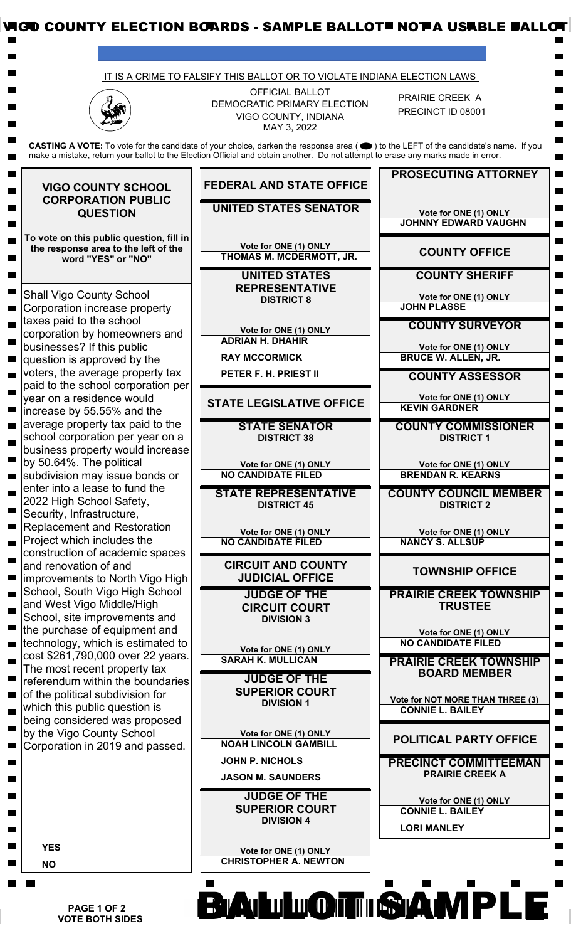|                                                                                                         | IT IS A CRIME TO FALSIFY THIS BALLOT OR TO VIOLATE INDIANA ELECTION LAWS                                                                                                                                                                                               |                                                                        |
|---------------------------------------------------------------------------------------------------------|------------------------------------------------------------------------------------------------------------------------------------------------------------------------------------------------------------------------------------------------------------------------|------------------------------------------------------------------------|
|                                                                                                         | <b>OFFICIAL BALLOT</b><br>DEMOCRATIC PRIMARY ELECTION<br>VIGO COUNTY, INDIANA<br>MAY 3, 2022                                                                                                                                                                           | PRAIRIE CREEK A<br>PRECINCT ID 08001                                   |
|                                                                                                         | CASTING A VOTE: To vote for the candidate of your choice, darken the response area (●) to the LEFT of the candidate's name. If you<br>make a mistake, return your ballot to the Election Official and obtain another. Do not attempt to erase any marks made in error. |                                                                        |
| <b>VIGO COUNTY SCHOOL</b><br><b>CORPORATION PUBLIC</b><br><b>QUESTION</b>                               | <b>FEDERAL AND STATE OFFICE</b>                                                                                                                                                                                                                                        | <b>PROSECUTING ATTORNEY</b>                                            |
|                                                                                                         | <b>UNITED STATES SENATOR</b>                                                                                                                                                                                                                                           | Vote for ONE (1) ONLY<br><b>JOHNNY EDWARD VAUGHN</b>                   |
| To vote on this public question, fill in<br>the response area to the left of the<br>word "YES" or "NO"  | Vote for ONE (1) ONLY<br>THOMAS M. MCDERMOTT, JR.                                                                                                                                                                                                                      | <b>COUNTY OFFICE</b>                                                   |
|                                                                                                         | <b>UNITED STATES</b><br><b>REPRESENTATIVE</b>                                                                                                                                                                                                                          | <b>COUNTY SHERIFF</b>                                                  |
| <b>Shall Vigo County School</b><br>Corporation increase property<br>taxes paid to the school            | <b>DISTRICT 8</b>                                                                                                                                                                                                                                                      | Vote for ONE (1) ONLY<br><b>JOHN PLASSE</b>                            |
| corporation by homeowners and<br>businesses? If this public                                             | Vote for ONE (1) ONLY<br><b>ADRIAN H. DHAHIR</b>                                                                                                                                                                                                                       | <b>COUNTY SURVEYOR</b><br>Vote for ONE (1) ONLY                        |
| question is approved by the<br>voters, the average property tax                                         | <b>RAY MCCORMICK</b><br>PETER F. H. PRIEST II                                                                                                                                                                                                                          | <b>BRUCE W. ALLEN, JR.</b><br><b>COUNTY ASSESSOR</b>                   |
| paid to the school corporation per<br>year on a residence would                                         | <b>STATE LEGISLATIVE OFFICE</b>                                                                                                                                                                                                                                        | Vote for ONE (1) ONLY<br><b>KEVIN GARDNER</b>                          |
| increase by 55.55% and the<br>average property tax paid to the<br>school corporation per year on a      | <b>STATE SENATOR</b><br><b>DISTRICT 38</b>                                                                                                                                                                                                                             | <b>COUNTY COMMISSIONER</b><br><b>DISTRICT 1</b>                        |
| business property would increase<br>by 50.64%. The political                                            | Vote for ONE (1) ONLY                                                                                                                                                                                                                                                  | Vote for ONE (1) ONLY                                                  |
| subdivision may issue bonds or<br>enter into a lease to fund the<br>2022 High School Safety,            | <b>NO CANDIDATE FILED</b><br><b>STATE REPRESENTATIVE</b>                                                                                                                                                                                                               | <b>BRENDAN R. KEARNS</b><br><b>COUNTY COUNCIL MEMBER</b>               |
| Security, Infrastructure,<br><b>Replacement and Restoration</b>                                         | <b>DISTRICT 45</b>                                                                                                                                                                                                                                                     | <b>DISTRICT 2</b>                                                      |
| Project which includes the<br>construction of academic spaces                                           | Vote for ONE (1) ONLY<br><b>NO CANDIDATE FILED</b>                                                                                                                                                                                                                     | Vote for ONE (1) ONLY<br><b>NANCY S. ALLSUP</b>                        |
| and renovation of and<br>improvements to North Vigo High                                                | <b>CIRCUIT AND COUNTY</b><br><b>JUDICIAL OFFICE</b>                                                                                                                                                                                                                    | <b>TOWNSHIP OFFICE</b>                                                 |
| School, South Vigo High School<br>and West Vigo Middle/High<br>School, site improvements and            | <b>JUDGE OF THE</b><br><b>CIRCUIT COURT</b><br><b>DIVISION 3</b>                                                                                                                                                                                                       | <b>PRAIRIE CREEK TOWNSHIP</b><br><b>TRUSTEE</b>                        |
| the purchase of equipment and<br>technology, which is estimated to<br>cost \$261,790,000 over 22 years. | Vote for ONE (1) ONLY                                                                                                                                                                                                                                                  | Vote for ONE (1) ONLY<br><b>NO CANDIDATE FILED</b>                     |
| The most recent property tax<br>referendum within the boundaries                                        | <b>SARAH K. MULLICAN</b><br><b>JUDGE OF THE</b>                                                                                                                                                                                                                        | <b>PRAIRIE CREEK TOWNSHIP</b><br><b>BOARD MEMBER</b>                   |
| of the political subdivision for<br>which this public question is<br>being considered was proposed      | <b>SUPERIOR COURT</b><br><b>DIVISION 1</b>                                                                                                                                                                                                                             | Vote for NOT MORE THAN THREE (3)<br><b>CONNIE L. BAILEY</b>            |
| by the Vigo County School<br>Corporation in 2019 and passed.                                            | Vote for ONE (1) ONLY<br><b>NOAH LINCOLN GAMBILL</b>                                                                                                                                                                                                                   | <b>POLITICAL PARTY OFFICE</b>                                          |
|                                                                                                         | <b>JOHN P. NICHOLS</b><br><b>JASON M. SAUNDERS</b>                                                                                                                                                                                                                     | <b>PRECINCT COMMITTEEMAN</b><br><b>PRAIRIE CREEK A</b>                 |
|                                                                                                         | <b>JUDGE OF THE</b><br><b>SUPERIOR COURT</b><br><b>DIVISION 4</b>                                                                                                                                                                                                      | Vote for ONE (1) ONLY<br><b>CONNIE L. BAILEY</b><br><b>LORI MANLEY</b> |
| <b>YES</b><br><b>NO</b>                                                                                 | Vote for ONE (1) ONLY<br><b>CHRISTOPHER A. NEWTON</b>                                                                                                                                                                                                                  |                                                                        |